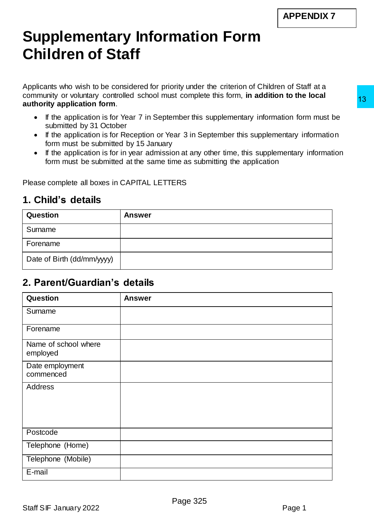## **Supplementary Information Form Children of Staff**

Applicants who wish to be considered for priority under the criterion of Children of Staff at a community or voluntary controlled school must complete this form, **in addition to the local authority application form**.

- If the application is for Year 7 in September this supplementary information form must be submitted by 31 October
- If the application is for Reception or Year 3 in September this supplementary information form must be submitted by 15 January
- If the application is for in year admission at any other time, this supplementary information form must be submitted at the same time as submitting the application

## **1. Child's details**

| <b>Question</b>            | <b>Answer</b> |
|----------------------------|---------------|
| Surname                    |               |
| Forename                   |               |
| Date of Birth (dd/mm/yyyy) |               |

## **2. Parent/Guardian's details**

| authority application form.                                                                                                  | <b>INTRINSIPY OF VOIDINGLY CONTINUING SUITOUT HIRDIC COMPIGEO (INC. 1011), INTERNATION IN INC.</b>                                                                                                                                                                                                                                                               |
|------------------------------------------------------------------------------------------------------------------------------|------------------------------------------------------------------------------------------------------------------------------------------------------------------------------------------------------------------------------------------------------------------------------------------------------------------------------------------------------------------|
| $\bullet$<br>submitted by 31 October<br>form must be submitted by 15 January<br>Please complete all boxes in CAPITAL LETTERS | If the application is for Year 7 in September this supplementary information form must be<br>If the application is for Reception or Year 3 in September this supplementary information<br>If the application is for in year admission at any other time, this supplementary information<br>form must be submitted at the same time as submitting the application |
| 1. Child's details                                                                                                           |                                                                                                                                                                                                                                                                                                                                                                  |
| Question                                                                                                                     | <b>Answer</b>                                                                                                                                                                                                                                                                                                                                                    |
| Surname                                                                                                                      |                                                                                                                                                                                                                                                                                                                                                                  |
| Forename                                                                                                                     |                                                                                                                                                                                                                                                                                                                                                                  |
| Date of Birth (dd/mm/yyyy)                                                                                                   |                                                                                                                                                                                                                                                                                                                                                                  |
| 2. Parent/Guardian's details<br><b>Question</b>                                                                              | <b>Answer</b>                                                                                                                                                                                                                                                                                                                                                    |
| Surname                                                                                                                      |                                                                                                                                                                                                                                                                                                                                                                  |
| Forename                                                                                                                     |                                                                                                                                                                                                                                                                                                                                                                  |
| Name of school where<br>employed                                                                                             |                                                                                                                                                                                                                                                                                                                                                                  |
| Date employment<br>commenced                                                                                                 |                                                                                                                                                                                                                                                                                                                                                                  |
|                                                                                                                              |                                                                                                                                                                                                                                                                                                                                                                  |
|                                                                                                                              |                                                                                                                                                                                                                                                                                                                                                                  |
|                                                                                                                              |                                                                                                                                                                                                                                                                                                                                                                  |
|                                                                                                                              |                                                                                                                                                                                                                                                                                                                                                                  |
| Address<br>Postcode<br>Telephone (Home)<br>Telephone (Mobile)                                                                |                                                                                                                                                                                                                                                                                                                                                                  |